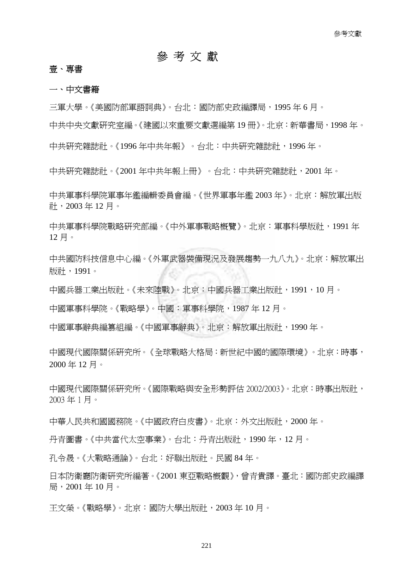# 參 考 文 獻

### 壹、專書

#### 一、中文書籍

三軍大學。《美國防部軍語詞典》。台北:國防部史政編譯局,1995 年 6 月。

中共中央文獻研究室編。《建國以來重要文獻選編第 19 冊》。北京:新華書局,1998 年。

中共研究雜誌社。《1996 年中共年報》。台北:中共研究雜誌社,1996 年。

中共研究雜誌社。《2001 年中共年報上冊》。台北:中共研究雜誌社,2001 年。

中共軍事科學院軍事年鑑編輯委員會編。《世界軍事年鑑 2003 年》。北京:解放軍出版 社,2003 年 12 月。

中共軍事科學院戰略研究部編。《中外軍事戰略概覽》。北京:軍事科學版社,1991 年 12 月。

中共國防科技信息中心編。《外軍武器裝備現況及發展趨勢一九八九》。北京:解放軍出 版社,1991。

中國兵器工業出版社。《未來陸戰》。北京:中國兵器工業出版社,1991,10 月。

中國軍事科學院。《戰略學》。中國:軍事科學院,1987 年 12 月。

中國軍事辭典編篡組編。《中國軍事辭典》。北京:解放軍出版社,1990 年。

中國現代國際關係研究所。《全球戰略大格局:新世紀中國的國際環境》。北京:時事, 2000 年 12 月。

中國現代國際關係研究所。《國際戰略與安全形勢評估 2002/2003》。北京:時事出版社, 2003 年 1 月。

中華人民共和國國務院。《中國政府白皮書》。北京:外文出版社,2000 年。

丹青圖書。《中共當代太空事業》。台北:丹青出版社,1990 年,12 月。

孔令晟。《大戰略通論》。台北:好聯出版社。民國 84 年。

日本防衛廳防衛研究所編著。《2001 東亞戰略概觀》,曾青貴譯。臺北:國防部史政編譯 局,2001 年 10 月。

王文榮。《戰略學》。北京:國防大學出版社,2003 年 10 月。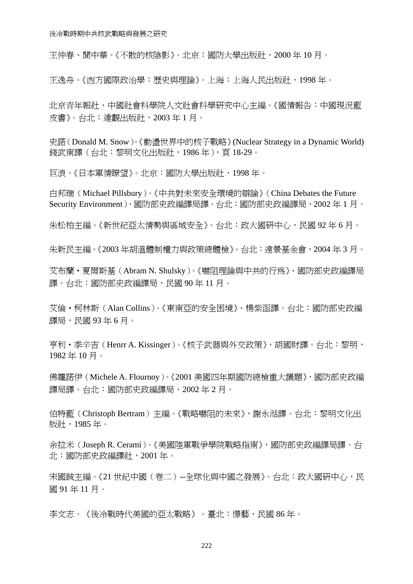王仲春、聞中華。《不散的核陰影》。北京:國防大學出版社,2000 年 10 月。

王逸舟。《西方國際政治學:歷史與理論》。上海:上海人民出版社,1998 年。

北京青年報社、中國社會科學院人文社會科學研究中心主編。《國情報告:中國現況藍 皮書》。台北:達觀出版社,2003 年 1 月。

史諾(Donald M. Snow)。《動盪世界中的核子戰略》(Nuclear Strategy in a Dynamic World) 錢武南譯(台北:黎明文化出版社,1986年),頁18-29。

巨浪。《日本軍情瞭望》。北京:國防大學出版社,1998 年。

白邦瑞(Michael Pillsbury)。《中共對未來安全環境的辯論》(China Debates the Future Security Environment),國防部史政編譯局譯。台北:國防部史政編譯局,2002 年 1 月。

朱松柏主編。《新世紀亞太情勢與區域安全》。台北:政大國研中心,民國 92年6月。

朱新民主編。《2003 年胡溫體制權力與政策總體檢》。台北:遠景基金會,2004 年 3 月。

艾布蘭‧夏爾斯基(Abram N. Shulsky)。《嚇阻理論與中共的行為》、國防部史政編譯局 譯。台北:國防部史政編譯局,民國 90 年 11 月。

艾倫‧柯林斯(Alan Collins)。《東南亞的安全困境》、楊紫函譯。台北:國防部史政編 譯局,民國93年6月。

亨利‧季辛吉(Henrr A. Kissinger)。《核子武器與外交政策》,胡國財譯。台北:黎明, 1982 年 10 月。

佛籮諾伊(Michele A. Flournoy)。《2001 美國四年期國防總檢重大議題》,國防部史政編 譯局譯。台北:國防部史政編譯局,2002 年 2 月。

伯特藍(Christoph Bertram)主編。《戰略嚇阻的未來》,謝永湉譯。台北:黎明文化出 版社,1985 年。

余拉米(Joseph R. Cerami)。《美國陸軍戰爭學院戰略指南》,國防部史政編譯局譯。台 北:國防部史政編譯社,2001 年。

宋國誠主編。《21世紀中國(卷二)--全球化與中國之發展》。台北:政大國研中心,民 國 91 年 11 月。

李文志。《後冷戰時代美國的亞太戰略》。臺北:憬藝,民國 86 年。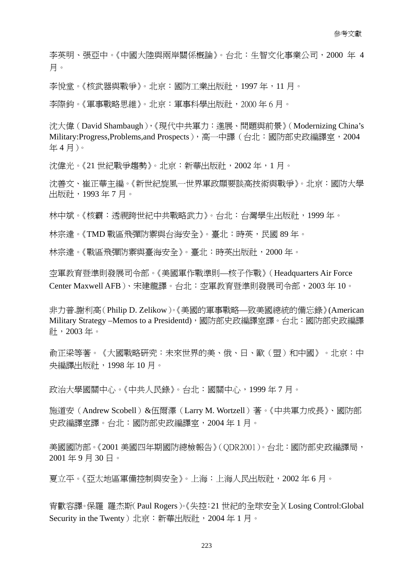李英明、張亞中。《中國大陸與兩岸關係概論》。台北:生智文化事業公司,2000 年 4 月。

李悅堂。《核武器與戰爭》。北京:國防工業出版社,1997 年,11 月。

李際鈞。《軍事戰略思維》。北京:軍事科學出版社,2000 年 6 月。

沈大偉(David Shambaugh),《現代中共軍力:進展、問題與前景》(Modernizing China's Military:Progress,Problems,and Prospects), 高一中譯(台北:國防部史政編譯室, 2004 年 4 月)。

沈偉光。《21 世紀戰爭趨勢》。北京:新華出版社, 2002年, 1月。

沈善文、崔正華主編。《新世紀旋風一世界軍政顯要談高技術與戰爭》。北京:國防大學 出版社,1993 年 7 月。

林中斌。《核霸:透視跨世紀中共戰略武力》。台北:台灣學生出版社,1999 年。

林宗達。《TMD 戰區飛彈防禦與台海安全》。臺北:時英,民國 89年。

林宗達。《戰區飛彈防禦與臺海安全》。臺北:時英出版社,2000年。

空軍教育暨準則發展司令部。《美國軍作戰準則—核子作戰》(Headquarters Air Force Center Maxwell AFB)、宋建龍譯。台北:空軍教育暨準則發展司令部,2003 年 10。

非力普.謝利高(Philip D. Zelikow)。《美國的軍事戰略—致美國總統的備忘錄》(American Military Strategy –Memos to a Presidentd), 國防部史政編譯室譯。台北: 國防部史政編譯 社,2003 年。

俞正梁等著。《大國戰略研究:未來世界的美、俄、日、歐(盟)和中國》。北京:中 央編譯出版社,1998 年 10 月。

政治大學國關中心。《中共人民錄》。台北:國關中心,1999 年 7 月。

施道安(Andrew Scobell)&伍爾澤(Larry M. Wortzell)著。《中共軍力成長》、國防部 史政編譯室譯。台北:國防部史政編譯室,2004 年 1 月。

美國國防部。《2001 美國四年期國防總檢報告》(ODR2001)。台北:國防部史政編譯局, 2001 年 9 月 30 日。

夏立平。《亞太地區軍備控制與安全》。上海:上海人民出版社,2002 年 6 月。

宵歡容譯。保羅 羅杰斯(Paul Rogers)。《失控:21 世紀的全球安全》(Losing Control:Global Security in the Twenty)北京: 新華出版社, 2004年1月。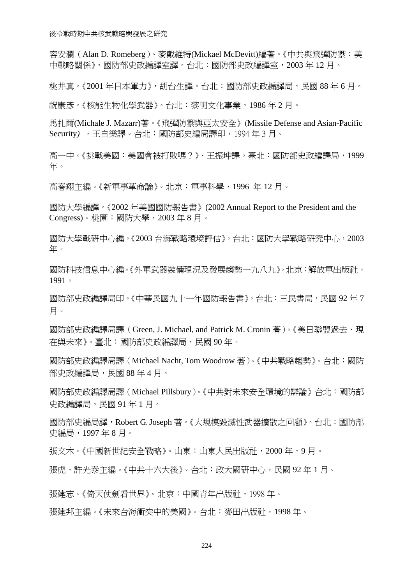容安瀾(Alan D. Romeberg)、麥戴維特(Mickael McDevitt)編著。《中共與飛彈防禦:美 中戰略關係》,國防部史政編譯室譯。台北:國防部史政編譯室,2003 年 12 月。

桃井真。《2001 年日本軍力》,胡台生譯。台北:國防部史政編譯局,民國 88 年 6 月。

祝康彥。《核能生物化學武器》。台北:黎明文化事業,1986 年 2 月。

馬扎爾(Michale J. Mazarr)著。《飛彈防禦與亞太安全》(Missile Defense and Asian-Pacific Security*)* ,王自樂譯。台北:國防部史編局譯印,1994 年 3 月。

高一中。《挑戰美國:美國會被打敗嗎?》、王振坤譯。臺北:國防部史政編譯局,1999 年。

高春翔主編。《新軍事革命論》。北京:軍事科學,1996 年 12 月。

國防大學編譯。《2002 年美國國防報告書》(2002 Annual Report to the President and the Congress)。桃園:國防大學,2003 年 8 月。

國防大學戰研中心編。《2003 台海戰略環境評估》。台北:國防大學戰略研究中心,2003 年。

國防科技信息中心編。《外軍武器裝備現況及發展趨勢一九八九》。北京:解放軍出版社, 1991。

國防部史政編譯局印。《中華民國九十一年國防報告書》。台北:三民書局,民國 92 年 7 月。

國防部史政編譯局譯(Green, J. Michael, and Patrick M. Cronin 著)。《美日聯盟過去、現 在與未來》。臺北:國防部史政編譯局,民國 90 年。

國防部史政編譯局譯(Michael Nacht, Tom Woodrow 著)。《中共戰略趨勢》。台北:國防 部史政編譯局,民國 88年4月。

國防部史政編譯局譯(Michael Pillsbury)。《中共對未來安全環境的辯論》台北:國防部 史政編譯局,民國 91 年 1 月。

國防部史編局譯,Robert G. Joseph 著。《大規模毀滅性武器擴散之回顧》。台北:國防部 史編局,1997 年 8 月。

張文木。《中國新世紀安全戰略》。山東:山東人民出版社,2000 年,9 月。

張虎、許光泰主編。《中共十六大後》。台北:政大國研中心,民國 92年1月。

張建志。《倚天仗劍看世界》。北京:中國青年出版社,1998年。

張建邦主編。《未來台海衝突中的美國》。台北:麥田出版社,1998 年。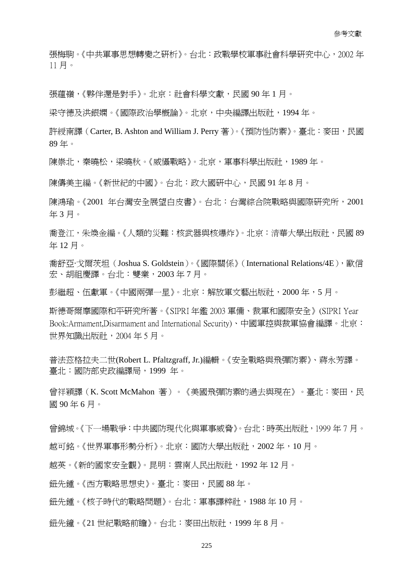張梅駒。《中共軍事思想轉變之硏析》。台北:政戰學校軍事社會科學硏究中心,2002 年 11 月。

張蘊嶺,《夥伴還是對手》。北京:社會科學文獻,民國 90 年 1 月。

梁守德及洪銀嫻。《國際政治學槪論》。北京,中央編譯出版社,1994年。

許綬南譯 (Carter, B. Ashton and William J. Perry 著)。《預防性防禦》。臺北:麥田, 民國 89 年。

陳崇北,秦曉松,梁曉秋。《威懾戰略》。北京,軍事科學出版社,1989年。

陳儔美主編。《新世紀的中國》。台北:政大國硏中心,民國 91 年 8 月。

陳鴻瑜。《2001 年台灣安全展望白皮書》。台北:台灣綜合院戰略與國際研究所,2001 年 3 月。

喬登江,朱煥金編。《人類的災難:核武器與核爆炸》。北京:清華大學出版社,民國 89 年 12 月。

喬舒亞·戈爾茨坦 (Joshua S. Goldstein)。《國際關係》 (International Relations/4E),歐信 宏、胡祖慶譯。台北:雙業,2003 年 7 月。

彭繼超、伍獻軍。《中國兩彈一星》。北京:解放軍文藝出版社,2000 年,5 月。

斯德哥爾摩國際和平研究所著。《SIPRI 年鑑 2003 軍備、裁軍和國際安全》(SIPRI Year Book:Armament,Disarmament and International Security)、中國軍控與裁軍協會編譯。北京: 世界知識出版社,2004 年 5 月。

普法茲格拉夫二世(Robert L. Pfaltzgraff, Jr.)編輯。《安全戰略與飛彈防禦》、蔣永芳譯。 臺北:國防部史政編譯局,1999 年。

曾祥穎譯(K. Scott McMahon 著)。《美國飛彈防禦的過去與現在》。臺北:麥田,民 國 90 年 6 月。

曾錦城。《下一場戰爭:中共國防現代化與軍事威脅》。台北:時英出版社,1999 年 7 月。 越可銘。《世界軍事形勢分析》。北京:國防大學出版社,2002 年,10 月。

越英。《新的國家安全觀》。昆明:雲南人民出版社,1992 年 12 月。

鈕先鍾。《西方戰略思想史》。臺北:麥田,民國 88 年。

鈕先鍾。《核子時代的戰略問題》。台北:軍事譯粹社,1988 年 10 月。

鈕先鐘。《21 世紀戰略前瞻》。台北:麥田出版社,1999 年 8 月。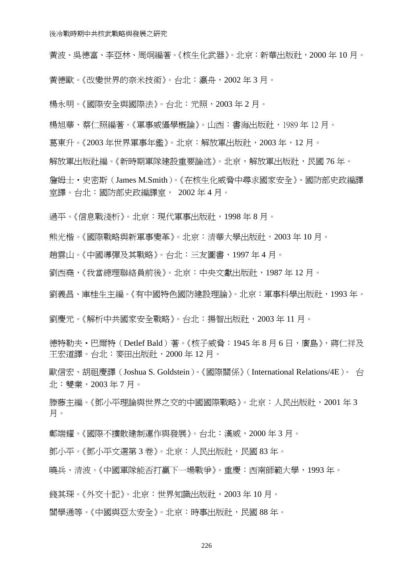黃波、吳德富、李亞林、周炯編著。《核生化武器》。北京:新華出版社,2000 年 10 月。

黃德歐。《改變世界的奈米技術》。台北:瀛舟,2002 年 3 月。

楊永明。《國際安全與國際法》。台北:元照,2003 年 2 月。

楊旭華、蔡仁照編著。《軍事威懾學概論》。山西:書海出版社,1989 年 12 月。

葛東升。《2003 年世界軍事年鑑》。北京:解放軍出版社,2003 年,12 月。

解放軍出版社編。《新時期軍隊建設重要論述》。北京,解放軍出版社,民國 76 年。

詹姆士‧史密斯(James M.Smith)。《在核生化威脅中尋求國家安全》、國防部史政編譯 室譯。台北:國防部史政編譯室, 2002 年 4 月。

過平。《信息戰淺析》。北京:現代軍事出版社,1998 年 8 月。

熊光楷。《國際戰略與新軍事變革》。北京:清華大學出版社,2003 年 10 月。

趙雲山。《中國導彈及其戰略》。台北:三友圖書,1997 年 4 月。

劉西堯,《我當總理聯絡員前後》。北京:中央文獻出版社,1987 年 12 月。

劉義昌、庫桂生主編。《有中國特色國防建設理論》。北京:軍事科學出版社,1993 年。

劉慶元。《解析中共國家安全戰略》。台北:揚智出版社,2003 年 11 月。

德特勒夫·巴爾特 (Detlef Bald) 著。《核子威脅:1945 年 8 月 6 日,廣島》,蔣仁祥及 王宏道譯。台北:麥田出版社,2000 年 12 月。

歐信宏、胡祖慶譯(Joshua S. Goldstein)。《國際關係》(International Relations/4E)。 台 北:雙業,2003 年 7 月。

滕藤主編。《鄧小平理論與世界之交的中國國際戰略》。北京:人民出版社,2001 年 3 月。

鄭端耀。《國際不擴散建制運作與發展》。台北:漢威,2000 年 3 月。

鄧小平。《鄧小平文選第 3 卷》。北京:人民出版社,民國 83 年。

曉兵、清波。《中國軍隊能否打贏下一場戰爭》。重慶:西南師範大學,1993 年。

錢其琛。《外交十記》。北京:世界知識出版社,2003 年 10 月。

閻學通等。《中國與亞太安全》。北京:時事出版社,民國 88 年。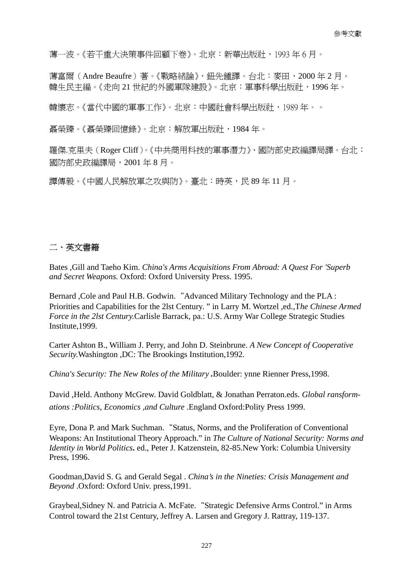薄一波。《若干重大決策事件回顧下卷》。北京:新華出版社,1993 年 6 月。

薄富爾(Andre Beaufre)著。《戰略緒論》,鈕先鍾譯。台北:麥田,2000 年 2 月。 韓生民主編。《走向 21 世紀的外國軍隊建設》。北京:軍事科學出版社,1996 年。

韓懷志。《當代中國的軍事工作》。北京:中國社會科學出版社,1989 年。。

聶榮臻。《聶榮臻回憶錄》。北京:解放軍出版社,1984 年。

羅傑.克里夫(Roger Cliff)。《中共商用科技的軍事潛力》、國防部史政編譯局譯。台北: 國防部史政編譯局,2001 年 8 月。

譚傳毅。《中國人民解放軍之攻與防》。臺北:時英,民 89 年 11 月。

## 二、英文書籍

Bates ,Gill and Taeho Kim. *China's Arms Acquisitions From Abroad: A Quest For 'Superb and Secret Weapons.* Oxford: Oxford University Press. 1995.

Bernard ,Cole and Paul H.B. Godwin."Advanced Military Technology and the PLA : Priorities and Capabilities for the 2lst Century. " in Larry M. Wortzel ,ed.,T*he Chinese Armed Force in the 2lst Century.*Carlisle Barrack, pa.: U.S. Army War College Strategic Studies Institute,1999.

Carter Ashton B., William J. Perry, and John D. Steinbrune. *A New Concept of Cooperative Security.*Washington ,DC: The Brookings Institution,1992.

*China's Security: The New Roles of the Military .*Boulder: ynne Rienner Press,1998.

David ,Held. Anthony McGrew. David Goldblatt, & Jonathan Perraton.eds. *Global ransformations :Politics, Economics ,and Culture* .England Oxford:Polity Press 1999.

Eyre, Dona P. and Mark Suchman."Status, Norms, and the Proliferation of Conventional Weapons: An Institutional Theory Approach." in *The Culture of National Security: Norms and Identity in World Politics***.** ed., Peter J. Katzenstein, 82-85.New York: Columbia University Press, 1996.

Goodman,David S. G. and Gerald Segal . *China's in the Nineties: Crisis Management and Beyond* .Oxford: Oxford Univ. press,1991.

Graybeal,Sidney N. and Patricia A. McFate."Strategic Defensive Arms Control." in Arms Control toward the 21st Century, Jeffrey A. Larsen and Gregory J. Rattray, 119-137.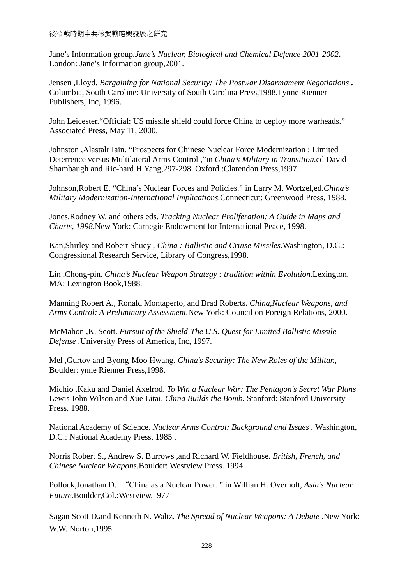Jane's Information group*.Jane's Nuclear, Biological and Chemical Defence 2001-2002***.**  London: Jane's Information group,2001.

Jensen ,Lloyd. *Bargaining for National Security: The Postwar Disarmament Negotiations* **.** Columbia, South Caroline: University of South Carolina Press,1988.Lynne Rienner Publishers, Inc, 1996.

John Leicester."Official: US missile shield could force China to deploy more warheads." Associated Press, May 11, 2000.

Johnston ,Alastalr Iain. "Prospects for Chinese Nuclear Force Modernization : Limited Deterrence versus Multilateral Arms Control ,"in *China's Military in Transition.*ed David Shambaugh and Ric-hard H.Yang,297-298. Oxford :Clarendon Press,1997.

Johnson,Robert E. "China's Nuclear Forces and Policies." in Larry M. Wortzel,ed.*China's Military Modernization-International Implications.*Connecticut: Greenwood Press, 1988.

Jones,Rodney W. and others eds. *Tracking Nuclear Proliferation: A Guide in Maps and Charts, 1998.*New York: Carnegie Endowment for International Peace, 1998.

Kan,Shirley and Robert Shuey , *China : Ballistic and Cruise Missiles.*Washington, D.C.: Congressional Research Service, Library of Congress,1998.

Lin ,Chong-pin. *China's Nuclear Weapon Strategy : tradition within Evolution.*Lexington, MA: Lexington Book,1988.

Manning Robert A., Ronald Montaperto, and Brad Roberts. *China,Nuclear Weapons, and Arms Control: A Preliminary Assessment.*New York: Council on Foreign Relations, 2000.

McMahon ,K. Scott. *Pursuit of the Shield-The U.S. Quest for Limited Ballistic Missile Defense .*University Press of America, Inc, 1997.

Mel ,Gurtov and Byong-Moo Hwang. *China's Security: The New Roles of the Militar.,*  Boulder: ynne Rienner Press,1998.

Michio ,Kaku and Daniel Axelrod. *To Win a Nuclear War: The Pentagon's Secret War Plans*  Lewis John Wilson and Xue Litai. *China Builds the Bomb.* Stanford: Stanford University Press. 1988.

National Academy of Science. *Nuclear Arms Control: Background and Issues .* Washington, D.C.: National Academy Press, 1985 .

Norris Robert S., Andrew S. Burrows ,and Richard W. Fieldhouse. *British, French, and Chinese Nuclear Weapons.*Boulder: Westview Press. 1994.

Pollock,Jonathan D. "China as a Nuclear Power. " in Willian H. Overholt, *Asia's Nuclear Future.*Boulder,Col.:Westview,1977

Sagan Scott D.and Kenneth N. Waltz. *The Spread of Nuclear Weapons: A Debate* .New York: W.W. Norton,1995.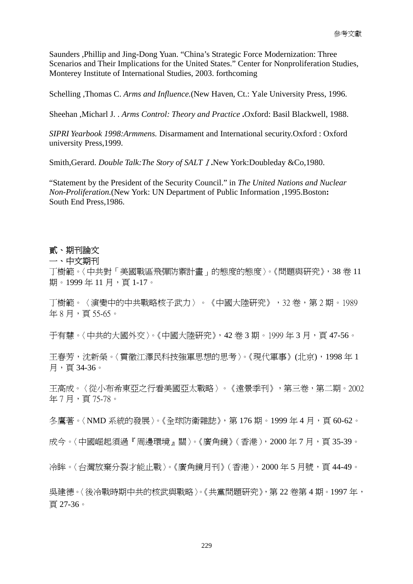Saunders ,Phillip and Jing-Dong Yuan. "China's Strategic Force Modernization: Three Scenarios and Their Implications for the United States." Center for Nonproliferation Studies, Monterey Institute of International Studies, 2003. forthcoming

Schelling ,Thomas C. *Arms and Influence.*(New Haven, Ct.: Yale University Press, 1996.

Sheehan ,Micharl J. . *Arms Control: Theory and Practice* **.**Oxford: Basil Blackwell, 1988.

*SIPRI Yearbook 1998:Armmens.* Disarmament and International security.Oxford : Oxford university Press,1999.

Smith,Gerard. *Double Talk:The Story of SALT*Ⅰ**.**New York:Doubleday &Co,1980.

"Statement by the President of the Security Council." in *The United Nations and Nuclear Non-Proliferation.*(New York: UN Department of Public Information ,1995.Boston**:**  South End Press,1986.

### 貳、期刊論文

一、中文期刊

丁樹範。〈中共對「美國戰區飛彈防禦計畫」的態度的態度〉。《問題與研究》,38 卷 11 期。1999年11月,百1-17。

丁樹範。〈演變中的中共戰略核子武力〉。《中國大陸研究》,32 卷,第 2 期。1989 年 8 月,頁 55-65。

于有慧。〈中共的大國外交〉。《中國大陸研究》,42 卷 3 期。1999 年 3 月,頁 47-56。

王春芳,沈新榮。〈貫徹江澤民科技強軍思想的思考〉。《現代軍事》(北京),1998 年 1 月,頁 34-36。

王高成。〈從小布希東亞之行看美國亞太戰略〉。《遠景季刊》,第三卷,第二期。2002 年 7 月,頁 75-78。

冬鷹著。〈NMD 系統的發展〉。《全球防衛雜誌》,第 176 期。1999 年 4 月,頁 60-62。

成今。〈中國崛起須過『周邊環境』關〉。《廣角鏡》(香港),2000年7月,頁35-39。

冷眸。〈台灣放棄分裂才能止戰〉。《廣角鏡月刊》(香港), 2000年5月號,頁44-49。

吳建德。〈後冷戰時期中共的核武與戰略〉。《共黨問題研究》,第 22 卷第 4 期。1997 年, 頁 27-36。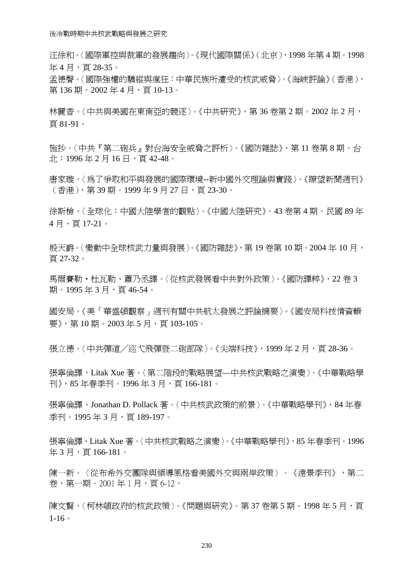汪徐和。〈國際軍控與裁軍的發展趨向〉。《現代國際關係》(北京),1998 年第 4 期。1998 年 4 月,頁 28-35。

孟德聲。〈國際強權的驕縱與瘋狂:中華民族所遭受的核武威脅〉。《海峽評論》(香港), 第 136 期。2002 年 4 月,頁 10-13。

林麗香。〈中共與美國在東南亞的競逐〉。《中共研究》,第36卷第2期。2002年2月, 頁 81-91。

施抄。〈中共『第二砲兵』對台海安全威脅之評析〉。《國防雜誌》,第 11 卷第 8 期。台 北: 1996年2月16日,頁42-48。

唐家璇。〈為了爭取和平與發展的國際環境--新中國外交理論與實踐〉。《瞭望新聞週刊》 (香港),第 39 期。1999 年 9 月 27 日,頁 23-30。

徐斯檢。〈全球化:中國大陸學者的觀點〉。《中國大陸研究》。43 卷第 4 期。民國 89 年 4 月,頁 17-21。

殷天爵。〈變動中全球核武力量與發展〉。《國防雜誌》,第 19 卷第 10 期。2004 年 10 月, 頁 27-32。

馬爾賽勒‧杜瓦勒、蕭乃丞譯。〈從核武發展看中共對外政策〉。《國防譯粹》,22 卷 3 期。1995年3月,百46-54。

國安局。〈美「華盛頓觀察」週刊有關中共航太發展之評論摘要〉。《國安局科技情資輯 要》,第10期。2003年5月,頁103-105。

張立德。〈中共彈道/巡弋飛彈暨二砲部隊〉。《尖端科技》,1999 年 2 月,頁 28-36。

張寧倫譯,Litak Xue 著。〈第二階段的戰略展望—中共核武戰略之演變〉。《中華戰略學 刊》,85 年春季刊。1996 年 3 月,頁 166-181。

張寧倫譯、Jonathan D. Pollack 著。〈中共核武政策的前景〉。《中華戰略學刊》,84 年春 季刊。1995年3月,頁189-197。

張寧倫譯、Litak Xue 著。〈中共核武戰略之演變〉。《中華戰略學刊》,85 年春季刊。1996 年 3 月,頁 166-181。

陳一新。〈從布希外交團隊與領導風格看美國外交與兩岸政策〉。《遠景季刊》,第二 卷, 第一期。2001年1月, 頁6-12。

陳文腎。〈柯林頓政府的核武政策〉。《問題與研究》。第37 卷第5期。1998年5月,頁  $1-16$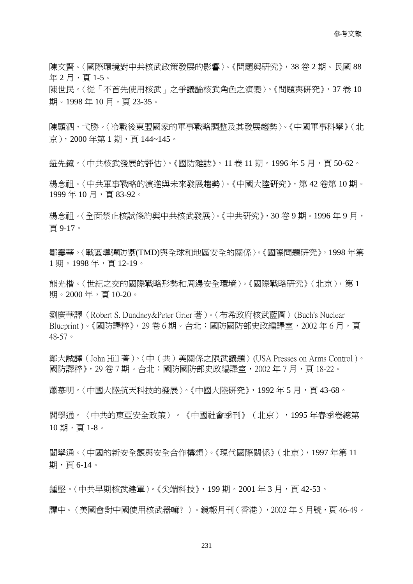陳文賢。〈國際環境對中共核武政策發展的影響〉。《問題與研究》,38 卷 2 期。民國 88 年2月,頁1-5。

陳世民。〈從「不首先使用核武」之爭議論核武角色之演變〉。《問題與研究》,37 卷 10 期。1998年10月,頁23-35。

陳顯泗、弋勝。〈冷戰後東盟國家的軍事戰略調整及其發展趨勢〉。《中國軍事科學》(北 京),2000 年第 1 期,頁 144~145。

鈕先鐘。〈中共核武發展的評估〉。《國防雜誌》,11 卷 11 期。1996年5月,百50-62。

楊念祖。〈中共軍事戰略的演進與未來發展趨勢〉。《中國大陸研究》,第 42 卷第 10 期。 1999年10月,百83-92。

楊念祖。〈全面禁止核試條約與中共核武發展〉。《中共研究》,30 卷 9 期。1996 年 9 月, 頁 9-17。

鄒霎華。〈戰區導彈防禦(TMD)與全球和地區安全的關係〉。《國際問題研究》,1998 年第 1 期。1998 年,頁 12-19。

熊光楷。〈世紀之交的國際戰略形勢和周邊安全環境〉。《國際戰略研究》(北京),第 1 期。2000年,頁10-20。

劉廣華譯(Robert S. Dundney&Peter Grier 著)。〈布希政府核武藍圖〉(Buch's Nuclear Blueprint )。《國防譯粹》,29 卷 6 期。台北:國防國防部史政編譯室,2002 年 6 月,頁 48-57。

鄭大誠譯(John Hill 著)。〈中(共)美關係之限武議題〉(USA Presses on Arms Control )。 國防譯粹》,29 卷 7 期。台北:國防國防部史政編譯室,2002 年 7 月,頁 18-22。

蕭慕明。〈中國大陸航天科技的發展〉。《中國大陸研究》, 1992年5月, 頁43-68。

閻學通。〈中共的東亞安全政策〉。《中國社會季刊》(北京),1995 年春季卷總第 10 期,頁 1-8。

閻學通。〈中國的新安全觀與安全合作構想〉。《現代國際關係》(北京),1997 年第 11 期,頁 6-14。

鍾堅。〈中共早期核武建軍〉。《尖端科技》,199 期。2001 年 3 月,頁 42-53。

譚中。〈美國會對中國使用核武器嘛? 〉。鏡報月刊(香港),2002 年 5 月號,頁 46-49。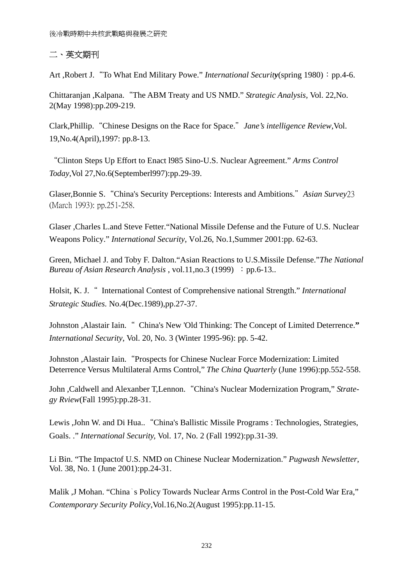## 二、英文期刊

Art ,Robert J. "To What End Military Powe." *International Security*(spring 1980): pp.4-6.

Chittaranjan ,Kalpana."The ABM Treaty and US NMD." *Strategic Analysis,* Vol. 22,No. 2(May 1998):pp.209-219.

Clark,Phillip."Chinese Designs on the Race for Space."*Jane's intelligence Review*,Vol. 19,No.4(April),1997: pp.8-13.

"Clinton Steps Up Effort to Enact l985 Sino-U.S. Nuclear Agreement." *Arms Control Today*,Vol 27,No.6(Septemberl997):pp.29-39.

Glaser,Bonnie S."China's Security Perceptions: Interests and Ambitions."*Asian Survey*23 (March 1993): pp.251-258.

Glaser ,Charles L.and Steve Fetter."National Missile Defense and the Future of U.S. Nuclear Weapons Policy." *International Security*, Vol.26, No.1,Summer 2001:pp. 62-63.

Green, Michael J. and Toby F. Dalton."Asian Reactions to U.S.Missile Defense."*The National Bureau of Asian Research Analysis*, vol.11, no.3 (1999) : pp.6-13..

Holsit, K. J." International Contest of Comprehensive national Strength." *International Strategic Studies.* No.4(Dec.1989),pp.27-37.

Johnston ,Alastair Iain." China's New 'Old Thinking: The Concept of Limited Deterrence.**"** *International Security*, Vol. 20, No. 3 (Winter 1995-96): pp. 5-42.

Johnston ,Alastair Iain."Prospects for Chinese Nuclear Force Modernization: Limited Deterrence Versus Multilateral Arms Control," *The China Quarterly* (June 1996):pp.552-558.

John ,Caldwell and Alexanber T,Lennon."China's Nuclear Modernization Program," *Strategy Rview*(Fall 1995):pp.28-31.

Lewis ,John W. and Di Hua.."China's Ballistic Missile Programs : Technologies, Strategies, Goals. ." *International Security,* Vol. 17, No. 2 (Fall 1992):pp.31-39.

Li Bin. "The Impactof U.S. NMD on Chinese Nuclear Modernization." *Pugwash Newsletter*, Vol. 38, No. 1 (June 2001):pp.24-31.

Malik ,J Mohan. "China`s Policy Towards Nuclear Arms Control in the Post-Cold War Era," *Contemporary Security Policy*,Vol.16,No.2(August 1995):pp.11-15.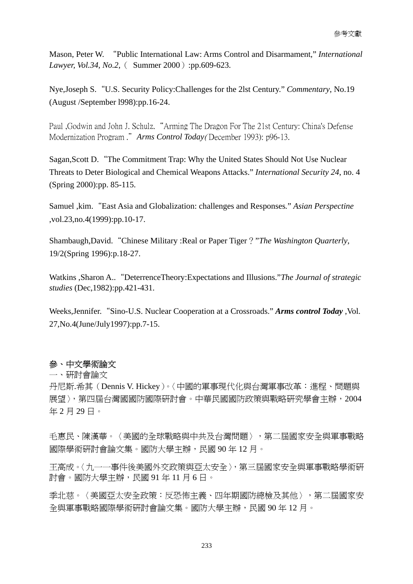Mason, Peter W. "Public International Law: Arms Control and Disarmament," *International Lawyer, Vol.34, No.2,* ( Summer 2000):pp.609-623.

Nye,Joseph S."U.S. Security Policy:Challenges for the 2lst Century." *Commentary*, No.19 (August /September l998):pp.16-24.

Paul ,Godwin and John J. Schulz."Arming The Dragon For The 21st Century: China's Defense Modernization Program ."*Arms Control Today*( December 1993): p96-13.

Sagan,Scott D."The Commitment Trap: Why the United States Should Not Use Nuclear Threats to Deter Biological and Chemical Weapons Attacks." *International Security 24*, no. 4 (Spring 2000):pp. 85-115.

Samuel ,kim."East Asia and Globalization: challenges and Responses*.*" *Asian Perspectine*  ,vol.23,no.4(1999):pp.10-17.

Shambaugh,David."Chinese Military :Real or Paper Tiger?"*The Washington Quarterly*, 19/2(Spring 1996):p.18-27.

Watkins ,Sharon A.."DeterrenceTheory:Expectations and Illusions."*The Journal of strategic studies* (Dec,1982):pp.421-431.

Weeks,Jennifer."Sino-U.S. Nuclear Cooperation at a Crossroads." *Arms control Today* ,Vol. 27,No.4(June/July1997):pp.7-15.

## 參、中文學術論文

一、研討會論文

丹尼斯.希其(Dennis V. Hickey)。〈中國的軍事現代化與台灣軍事改革:進程、問題與 展望〉,第四屆台灣國國防國際研討會。中華民國國防政策與戰略研究學會主辦,2004 年 2 月 29 日。

手惠民、陳漢華。〈美國的全球戰略與中共及台灣問題〉,第二屆國家安全與軍事戰略 國際學術研討會論文集。國防大學主辦,民國 90 年 12 月。

王高成。〈九一一事件後美國外交政策與亞太安全〉,第三屆國家安全與軍事戰略學術研 討會。國防大學主辦,民國 91 年 11 月 6 日。

季北慈。〈美國亞太安全政策:反恐怖主義、四年期國防總檢及其他〉,第二屆國家安 全與軍事戰略國際學術研討會論文集。國防大學主辦,民國 90 年 12 月。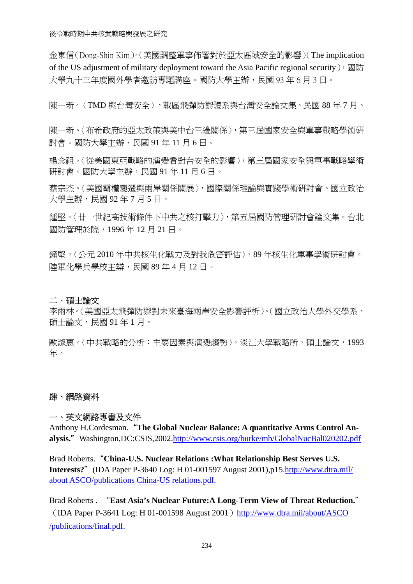金東信(Dong-Shin Kim)。〈美國調整軍事佈署對於亞太區域安全的影響〉(The implication of the US adjustment of military deployment toward the Asia Pacific regional security),  $\mathbb{E}$   $\mathbb{I}$ 大學九十三年度國外學者激訪專題講座。國防大學主辦,民國 93年6月3日。

陳一新。〈TMD 與台灣安全〉,戰區飛彈防禦體系與台灣安全論文集。民國 88年7月。

陳一新。〈布希政府的亞太政策與美中台三邊關係〉,第三屆國家安全與軍事戰略學術研 討會。國防大學主辦,民國 91 年 11 月 6 日。

楊念祖。〈從美國東亞戰略的演變看對台安全的影響〉,第三屆國家安全與軍事戰略學術 研討會。國防大學主辦,民國 91年11月6日。

蔡宗杰。〈美國霸權變遷與兩岸關係關展〉,國際關係理論與實踐學術研討會。國立政治 大學主辦,民國92年7月5日。

鍾堅。〈廿一世紀高技術條件下中共之核打擊力〉,第五屆國防管理研討會論文集。台北 國防管理於院,1996 年 12 月 21 日。

鐘堅。〈公元 2010 年中共核生化戰力及對我危害評估〉,89 年核生化軍事學術研討會。 陸軍化學兵學校主辯,民國 89 年 4 月 12 日。

### 二、碩士論文

李雨林。〈美國亞太飛彈防禦對未來臺海兩岸安全影響評析〉。(國立政治大學外交學系, 碩士論文,民國 91 年 1 月。

歐淑惠。〈中共戰略的分析:主要因素與演變趨勢〉。淡江大學戰略所,碩士論文,1993 年。

### 肆、網路資料

### 一、英文網路專書及文件

Anthony H.Cordesman."**The Global Nuclear Balance: A quantitative Arms Control An**alysis." Washington,DC:CSIS,2002.http://www.csis.org/burke/mb/GlobalNucBal020202.pdf

Brad Roberts."**China-U.S. Nuclear Relations :What Relationship Best Serves U.S. Interests?**"(IDA Paper P-3640 Log: H 01-001597 August 2001),p15.http://www.dtra.mil/ about ASCO/publications China-US relations.pdf.

Brad Roberts . "**East Asia's Nuclear Future:A Long-Term View of Threat Reduction.**" (IDA Paper P-3641 Log: H 01-001598 August 2001) http://www.dtra.mil/about/ASCO /publications/final.pdf.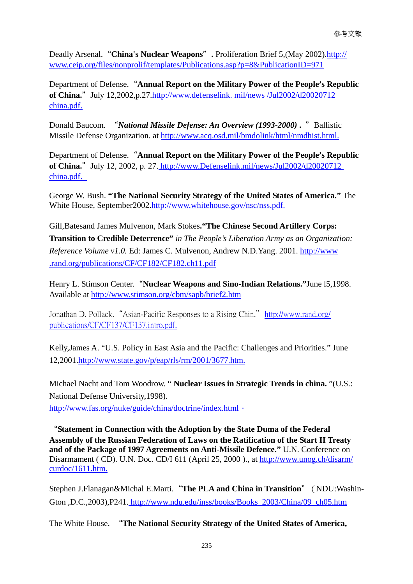Deadly Arsenal. "China's Nuclear Weapons". Proliferation Brief 5, (May 2002). http:// [www.ceip.org/files/nonprolif/templates/Publications.asp?p=8&PublicationID=971](http://www.ceip.org/files/nonprolif/templates/Publications.asp?p=8&PublicationID=971)

Department of Defense."**Annual Report on the Military Power of the People's Republic of China.**" July 12,2002,p.27.http://www.defenselink. mil/news /Jul2002/d20020712 china.pdf.

Donald Baucom. "*National Missile Defense: An Overview (1993-2000)* **.** "Ballistic Missile Defense Organization. at [http://www.acq.osd.mil/bmdolink/html/nmdhist.html.](http://www.acq.osd.mil/bmdolink/html/nmdhist.html)

Department of Defense."**Annual Report on the Military Power of the People's Republic of China.**"July 12, 2002, p. 27. http://www.Defenselink.mil/news/Jul2002/d20020712 china.pdf.

George W. Bush. **"The National Security Strategy of the United States of America."** The White House, September2002.http://www.whitehouse.gov/nsc/nss.pdf.

Gill,Batesand James Mulvenon, Mark Stokes**."The Chinese Second Artillery Corps: Transition to Credible Deterrence"** *in The People's Liberation Army as an Organization: Reference Volume v1.0.* Ed: James C. Mulvenon, Andrew N.D.Yang. 2001. http://www .rand.org/publications/CF/CF182/CF182.ch11.pdf

Henry L. Stimson Center."**Nuclear Weapons and Sino-Indian Relations."**June l5,1998. Available at<http://www.stimson.org/cbm/sapb/brief2.htm>

Jonathan D. Pollack. "Asian-Pacific Responses to a Rising Chin." http://www.rand.org/ publications/CF/CF137/CF137.intro.pdf.

Kelly,James A. "U.S. Policy in East Asia and the Pacific: Challenges and Priorities." June 12,2001.http://www.state.gov/p/eap/rls/rm/2001/3677.htm.

Michael Nacht and Tom Woodrow. " **Nuclear Issues in Strategic Trends in china.** "(U.S.: National Defense University,1998).

http://www.fas.org/nuke/guide/china/doctrine/index.html ·

"**Statement in Connection with the Adoption by the State Duma of the Federal Assembly of the Russian Federation of Laws on the Ratification of the Start II Treaty and of the Package of 1997 Agreements on Anti-Missile Defence."** U.N. Conference on Disarmament ( CD). U.N. Doc. CD/I 611 (April 25, 2000 )., at http://www.unog.ch/disarm/ curdoc/1611.htm.

Stephen J.Flanagan&Michal E.Marti."**The PLA and China in Transition**"(NDU:Washin-Gton ,D.C.,2003),P241. http://www.ndu.edu/inss/books/Books\_2003/China/09\_ch05.htm

The White House. "**The National Security Strategy of the United States of America,**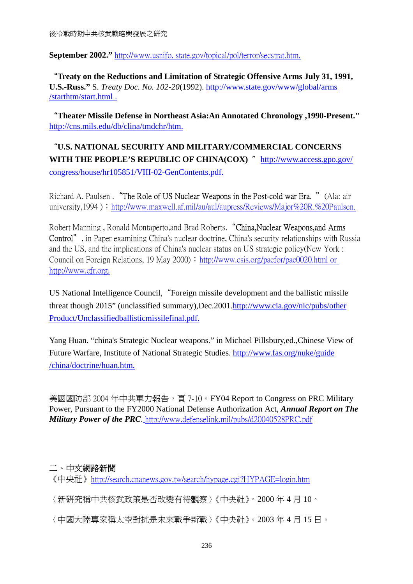**September 2002."** http://www.usnifo. state.gov/topical/pol/terror/secstrat.htm.

"**Treaty on the Reductions and Limitation of Strategic Offensive Arms July 31, 1991, U.S.-Russ."** S. *Treaty Doc. No. 102-20*(1992). http://www.state.gov/www/global/arms /starthtm/start.html .

"**Theater Missile Defense in Northeast Asia:An Annotated Chronology ,1990-Present."**  [http://cns.mils.edu/db/clina/tmdchr/htm.](http://cns.mils.edu/db/clina/tmdchr/htm)

"**U.S. NATIONAL SECURITY AND MILITARY/COMMERCIAL CONCERNS**  WITH THE PEOPLE'S REPUBLIC OF CHINA(COX) " <http://www.access.gpo.gov/> congress/house/hr105851/VIII-02-GenContents.pdf.

Richard A. Paulsen . "The Role of US Nuclear Weapons in the Post-cold war Era. " (Ala: air university,1994);http://www.maxwell.af.mil/au/aul/aupress/Reviews/Major%20R.%20Paulsen.

Robert Manning , Ronald Montaperto,and Brad Roberts."China,Nuclear Weapons,and Arms Control", in Paper examining China's nuclear doctrine, China's security relationships with Russia and the US, and the implications of China's nuclear status on US strategic policy(New York : Council on Foreign Relations, 19 May 2000); http://www.csis.org/pacfor/pac0020.html or [http://www.cfr.org](http://www.cfr.org/).

US National Intelligence Council,"Foreign missile development and the ballistic missile threat though 2015" (unclassified summary),Dec.2001.http://www.cia.gov/nic/pubs/other Product/Unclassifiedballisticmissilefinal.pdf.

Yang Huan. "china's Strategic Nuclear weapons." in Michael Pillsbury,ed.,Chinese View of Future Warfare, Institute of National Strategic Studies. http://www.fas.org/nuke/guide /china/doctrine/huan.htm.

美國國防部 2004年中共軍力報告,頁 7-10。FY04 Report to Congress on PRC Military Power, Pursuant to the FY2000 National Defense Authorization Act, *Annual Report on The Military Power of the PRC*. <http://www.defenselink.mil/pubs/d20040528PRC.pdf>

# 二、中文網路新聞

《中央社》<http://search.cnanews.gov.tw/search/hypage.cgi?HYPAGE=login.htm>

〈新研究稱中共核武政策是否改變有待觀察〉《中央社》。2000 年 4 月 10。

〈中國大陸專家稱太空對抗是未來戰爭新戰〉《中央社》。2003 年 4 月 15 日。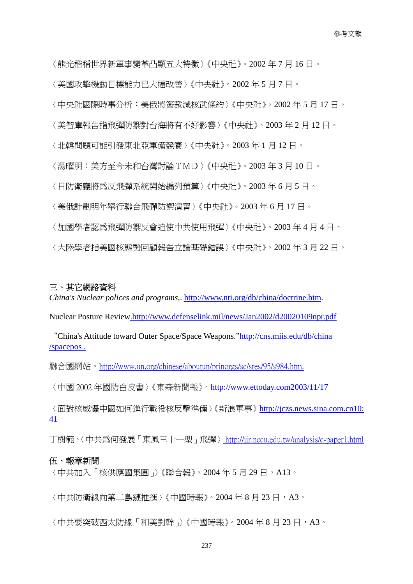〈熊光楷稱世界新軍事變革凸顯五大特徵〉《中央社》。2002 年 7 月 16 日。 〈美國攻擊機動目標能力已大幅改善〉《中央社》。2002 年 5 月 7 日。 〈中央社國際時事分析:美俄將簽裁減核武條約〉《中央社》。2002 年 5 月 17 日。 〈美智庫報告指飛彈防禦對台海將有不好影響〉《中央社》。2003 年 2 月 12 日。 〈北韓問題可能引發東北亞軍備競賽〉《中央社》。2003 年 1 月 12 日。 〈湯曜明:美方至今未和台灣討論TMD〉《中央社》。2003 年 3 月 10 日。 〈日防衛廳將為反飛彈系統開始編列預算〉《中央社》。2003 年 6 月 5 日。 〈美俄計劃明年舉行聯合飛彈防禦演習〉《中央社》。2003 年 6 月 17 日。 〈加國學者認為飛彈防禦反會迫使中共使用飛彈〉《中央社》。2003 年 4 月 4 日。 〈大陸學者指美國核態勢回顧報告立論基礎錯誤〉《中央社》。2002 年 3 月 22 日。

## 三、其它網路資料

*China's Nuclear polices and programs*,. [http://www.nti.org/db/china/doctrine.htm.](http://www.nti.org/db/china/doctrine.htm)

Nuclear Posture Review.http://www.defenselink.mil/news/Jan2002/d20020109npr.pdf

"China's Attitude toward Outer Space/Space Weapons."http://cns.miis.edu/db/china /spacepos .

聯合國網站。http://www.un.org/chinese/aboutun/prinorgs/sc/sres/95/s984.htm.

〈中國 2002 年國防白皮書〉《東森新聞報》。<http://www.ettoday.com2003/11/17>

〈面對核威懾中國如何進行戰役核反擊準備〉《新浪軍事》[http://jczs.news.sina.com.cn10](http://jczs.news.sina.com.cn10/): 41

丁樹範。〈中共為何發展「東風三十一型」飛彈〉http://iir.nccu.edu.tw/analysis/c-paper1.html

#### 伍、報章新聞

〈中共加入「核供應國集團」〉《聯合報》。2004年5月29日,A13。

〈中共防衛線向第二鳥縺推淮〉《中國時報》。2004年8月23日,A3。

〈中共要突破西太防線「和美對幹」〉《中國時報》。2004年8月23日,A3。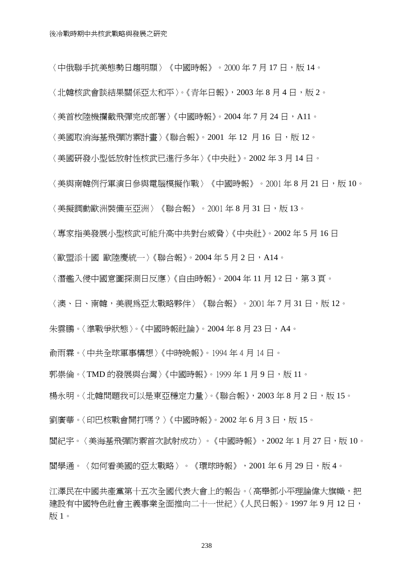〈中俄聯手抗美態勢日趨明顯〉《中國時報》。2000年7月17日,版14。

〈北韓核武會談結果關係亞太和平〉。《青年日報》, 2003年8月4日,版2。

〈美首枚陸機攔截飛彈完成部署〉《中國時報》。2004 年 7 月 24 日,A11。

〈美國取消海基飛彈防禦計畫〉《聯合報》。2001 年 12 月 16 日,版 12。

〈美國研發小型低放射性核武已進行多年〉《中央社》。2002 年 3 月 14 日。

〈美與南韓例行軍演日參與電腦模擬作戰〉《中國時報》。2001 年 8 月 21 日,版 10。

〈美擬調動歐洲裝備至亞洲〉《聯合報》。2001年8月31日,版13。

〈專家指美發展小型核武可能升高中共對台威脅〉《中央社》。2002 年 5 月 16 日

〈歐盟添十國 歐陸慶統一〉《聯合報》。2004年5月2日,A14。

〈潛艦入侵中國意圖探測日反應〉《自由時報》。2004 年 11 月 12 日,第 3 頁。

〈澳、日、南韓,美視爲亞太戰略夥伴〉《聯合報》。2001 年 7 月 31 日,版 12。

朱雲鵬。〈 進戰爭狀態 〉。《 中國時報計論 》。2004 年 8 月 23 日, A4。

俞雨霖。〈中共全球軍事構想〉《中時晚報》。1994 年 4 月 14 日。

郭崇倫。〈TMD 的發展與台灣〉《中國時報》。1999年1月9日,版 11。

楊永明。〈北韓問題我可以是東亞穩定力量〉。《聯合報》, 2003年8月2日,版15。

劉廣華。〈印巴核戰會開打嗎?〉《中國時報》。2002年6月3日,版 15。

閻紀宇。〈美海基飛彈防禦首次試射成功〉。《中國時報》,2002年1月27日,版10。

閻學通。〈如何看美國的亞太戰略〉。《環球時報》,2001年6月29日,版4。

江澤民在中國共產黨第十五次全國代表大會上的報告。〈高舉鄧小平理論偉大旗幟,把 建設有中國特色社會主義事業全面推向二十一世紀〉《人民日報》。1997年9月12日, 版 1。

238